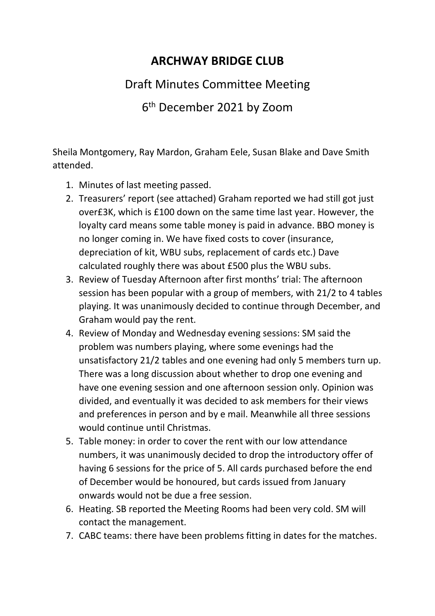## **ARCHWAY BRIDGE CLUB**

## Draft Minutes Committee Meeting

6 th December 2021 by Zoom

Sheila Montgomery, Ray Mardon, Graham Eele, Susan Blake and Dave Smith attended.

- 1. Minutes of last meeting passed.
- 2. Treasurers' report (see attached) Graham reported we had still got just over£3K, which is £100 down on the same time last year. However, the loyalty card means some table money is paid in advance. BBO money is no longer coming in. We have fixed costs to cover (insurance, depreciation of kit, WBU subs, replacement of cards etc.) Dave calculated roughly there was about £500 plus the WBU subs.
- 3. Review of Tuesday Afternoon after first months' trial: The afternoon session has been popular with a group of members, with 21/2 to 4 tables playing. It was unanimously decided to continue through December, and Graham would pay the rent.
- 4. Review of Monday and Wednesday evening sessions: SM said the problem was numbers playing, where some evenings had the unsatisfactory 21/2 tables and one evening had only 5 members turn up. There was a long discussion about whether to drop one evening and have one evening session and one afternoon session only. Opinion was divided, and eventually it was decided to ask members for their views and preferences in person and by e mail. Meanwhile all three sessions would continue until Christmas.
- 5. Table money: in order to cover the rent with our low attendance numbers, it was unanimously decided to drop the introductory offer of having 6 sessions for the price of 5. All cards purchased before the end of December would be honoured, but cards issued from January onwards would not be due a free session.
- 6. Heating. SB reported the Meeting Rooms had been very cold. SM will contact the management.
- 7. CABC teams: there have been problems fitting in dates for the matches.